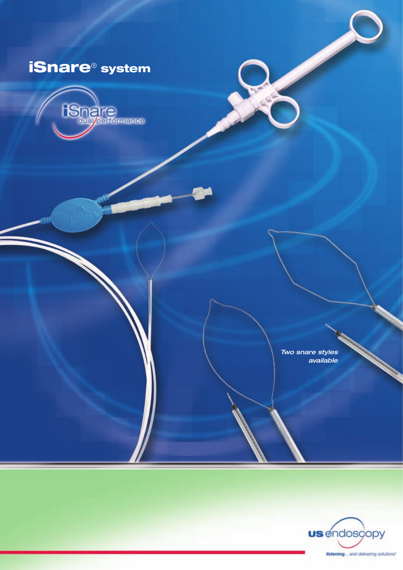# iSnare® system



*Two snare styles available*